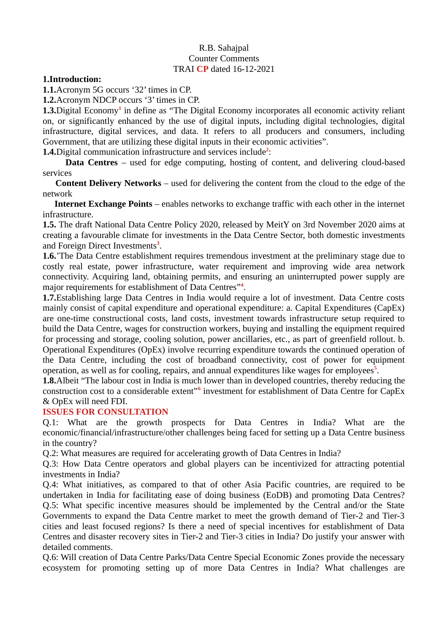## R.B. Sahajpal Counter Comments TRAI **CP** dated 16-12-2021

## **1.Introduction:**

**1.1.**Acronym 5G occurs '32' times in CP.

**1.2.**Acronym NDCP occurs '3' times in CP.

**1.3.**Digital Economy**<sup>1</sup>** in define as "The Digital Economy incorporates all economic activity reliant on, or significantly enhanced by the use of digital inputs, including digital technologies, digital infrastructure, digital services, and data. It refers to all producers and consumers, including Government, that are utilizing these digital inputs in their economic activities".

**1.4.**Digital communication infrastructure and services include**<sup>2</sup>** :

 **Data Centres** – used for edge computing, hosting of content, and delivering cloud-based services

 **Content Delivery Networks** – used for delivering the content from the cloud to the edge of the network

 **Internet Exchange Points** – enables networks to exchange traffic with each other in the internet infrastructure.

**1.5.** The draft National Data Centre Policy 2020, released by MeitY on 3rd November 2020 aims at creating a favourable climate for investments in the Data Centre Sector, both domestic investments and Foreign Direct Investments**<sup>3</sup>** .

**1.6.**'The Data Centre establishment requires tremendous investment at the preliminary stage due to costly real estate, power infrastructure, water requirement and improving wide area network connectivity. Acquiring land, obtaining permits, and ensuring an uninterrupted power supply are major requirements for establishment of Data Centres"**<sup>4</sup>** .

**1.7.**Establishing large Data Centres in India would require a lot of investment. Data Centre costs mainly consist of capital expenditure and operational expenditure: a. Capital Expenditures (CapEx) are one-time constructional costs, land costs, investment towards infrastructure setup required to build the Data Centre, wages for construction workers, buying and installing the equipment required for processing and storage, cooling solution, power ancillaries, etc., as part of greenfield rollout. b. Operational Expenditures (OpEx) involve recurring expenditure towards the continued operation of the Data Centre, including the cost of broadband connectivity, cost of power for equipment operation, as well as for cooling, repairs, and annual expenditures like wages for employees**<sup>5</sup>** .

**1.8.**Albeit "The labour cost in India is much lower than in developed countries, thereby reducing the construction cost to a considerable extent"**<sup>6</sup>** investment for establishment of Data Centre for CapEx & OpEx will need FDI.

### **ISSUES FOR CONSULTATION**

Q.1: What are the growth prospects for Data Centres in India? What are the economic/financial/infrastructure/other challenges being faced for setting up a Data Centre business in the country?

Q.2: What measures are required for accelerating growth of Data Centres in India?

Q.3: How Data Centre operators and global players can be incentivized for attracting potential investments in India?

Q.4: What initiatives, as compared to that of other Asia Pacific countries, are required to be undertaken in India for facilitating ease of doing business (EoDB) and promoting Data Centres? Q.5: What specific incentive measures should be implemented by the Central and/or the State Governments to expand the Data Centre market to meet the growth demand of Tier-2 and Tier-3 cities and least focused regions? Is there a need of special incentives for establishment of Data Centres and disaster recovery sites in Tier-2 and Tier-3 cities in India? Do justify your answer with detailed comments.

Q.6: Will creation of Data Centre Parks/Data Centre Special Economic Zones provide the necessary ecosystem for promoting setting up of more Data Centres in India? What challenges are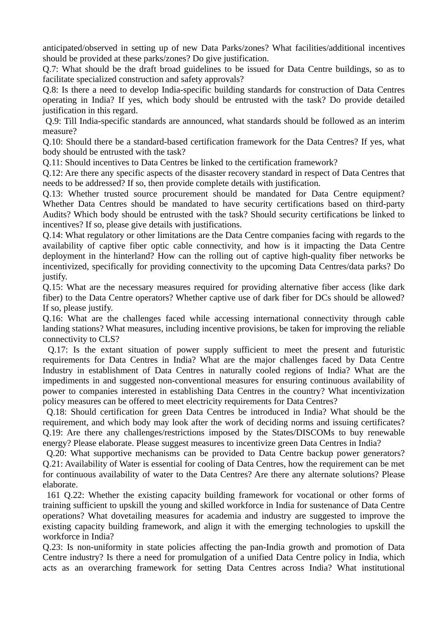anticipated/observed in setting up of new Data Parks/zones? What facilities/additional incentives should be provided at these parks/zones? Do give justification.

Q.7: What should be the draft broad guidelines to be issued for Data Centre buildings, so as to facilitate specialized construction and safety approvals?

Q.8: Is there a need to develop India-specific building standards for construction of Data Centres operating in India? If yes, which body should be entrusted with the task? Do provide detailed justification in this regard.

 Q.9: Till India-specific standards are announced, what standards should be followed as an interim measure?

Q.10: Should there be a standard-based certification framework for the Data Centres? If yes, what body should be entrusted with the task?

Q.11: Should incentives to Data Centres be linked to the certification framework?

Q.12: Are there any specific aspects of the disaster recovery standard in respect of Data Centres that needs to be addressed? If so, then provide complete details with justification.

Q.13: Whether trusted source procurement should be mandated for Data Centre equipment? Whether Data Centres should be mandated to have security certifications based on third-party Audits? Which body should be entrusted with the task? Should security certifications be linked to incentives? If so, please give details with justifications.

Q.14: What regulatory or other limitations are the Data Centre companies facing with regards to the availability of captive fiber optic cable connectivity, and how is it impacting the Data Centre deployment in the hinterland? How can the rolling out of captive high-quality fiber networks be incentivized, specifically for providing connectivity to the upcoming Data Centres/data parks? Do justify.

Q.15: What are the necessary measures required for providing alternative fiber access (like dark fiber) to the Data Centre operators? Whether captive use of dark fiber for DCs should be allowed? If so, please justify.

Q.16: What are the challenges faced while accessing international connectivity through cable landing stations? What measures, including incentive provisions, be taken for improving the reliable connectivity to CLS?

 Q.17: Is the extant situation of power supply sufficient to meet the present and futuristic requirements for Data Centres in India? What are the major challenges faced by Data Centre Industry in establishment of Data Centres in naturally cooled regions of India? What are the impediments in and suggested non-conventional measures for ensuring continuous availability of power to companies interested in establishing Data Centres in the country? What incentivization policy measures can be offered to meet electricity requirements for Data Centres?

 Q.18: Should certification for green Data Centres be introduced in India? What should be the requirement, and which body may look after the work of deciding norms and issuing certificates? Q.19: Are there any challenges/restrictions imposed by the States/DISCOMs to buy renewable energy? Please elaborate. Please suggest measures to incentivize green Data Centres in India?

 Q.20: What supportive mechanisms can be provided to Data Centre backup power generators? Q.21: Availability of Water is essential for cooling of Data Centres, how the requirement can be met for continuous availability of water to the Data Centres? Are there any alternate solutions? Please elaborate.

 161 Q.22: Whether the existing capacity building framework for vocational or other forms of training sufficient to upskill the young and skilled workforce in India for sustenance of Data Centre operations? What dovetailing measures for academia and industry are suggested to improve the existing capacity building framework, and align it with the emerging technologies to upskill the workforce in India?

Q.23: Is non-uniformity in state policies affecting the pan-India growth and promotion of Data Centre industry? Is there a need for promulgation of a unified Data Centre policy in India, which acts as an overarching framework for setting Data Centres across India? What institutional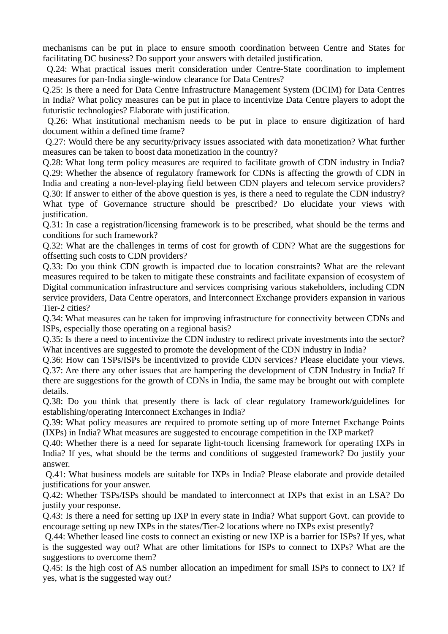mechanisms can be put in place to ensure smooth coordination between Centre and States for facilitating DC business? Do support your answers with detailed justification.

 Q.24: What practical issues merit consideration under Centre-State coordination to implement measures for pan-India single-window clearance for Data Centres?

Q.25: Is there a need for Data Centre Infrastructure Management System (DCIM) for Data Centres in India? What policy measures can be put in place to incentivize Data Centre players to adopt the futuristic technologies? Elaborate with justification.

 Q.26: What institutional mechanism needs to be put in place to ensure digitization of hard document within a defined time frame?

 Q.27: Would there be any security/privacy issues associated with data monetization? What further measures can be taken to boost data monetization in the country?

Q.28: What long term policy measures are required to facilitate growth of CDN industry in India? Q.29: Whether the absence of regulatory framework for CDNs is affecting the growth of CDN in India and creating a non-level-playing field between CDN players and telecom service providers? Q.30: If answer to either of the above question is yes, is there a need to regulate the CDN industry? What type of Governance structure should be prescribed? Do elucidate your views with justification.

Q.31: In case a registration/licensing framework is to be prescribed, what should be the terms and conditions for such framework?

Q.32: What are the challenges in terms of cost for growth of CDN? What are the suggestions for offsetting such costs to CDN providers?

Q.33: Do you think CDN growth is impacted due to location constraints? What are the relevant measures required to be taken to mitigate these constraints and facilitate expansion of ecosystem of Digital communication infrastructure and services comprising various stakeholders, including CDN service providers, Data Centre operators, and Interconnect Exchange providers expansion in various Tier-2 cities?

Q.34: What measures can be taken for improving infrastructure for connectivity between CDNs and ISPs, especially those operating on a regional basis?

Q.35: Is there a need to incentivize the CDN industry to redirect private investments into the sector? What incentives are suggested to promote the development of the CDN industry in India?

Q.36: How can TSPs/ISPs be incentivized to provide CDN services? Please elucidate your views. Q.37: Are there any other issues that are hampering the development of CDN Industry in India? If there are suggestions for the growth of CDNs in India, the same may be brought out with complete details.

Q.38: Do you think that presently there is lack of clear regulatory framework/guidelines for establishing/operating Interconnect Exchanges in India?

Q.39: What policy measures are required to promote setting up of more Internet Exchange Points (IXPs) in India? What measures are suggested to encourage competition in the IXP market?

Q.40: Whether there is a need for separate light-touch licensing framework for operating IXPs in India? If yes, what should be the terms and conditions of suggested framework? Do justify your answer.

 Q.41: What business models are suitable for IXPs in India? Please elaborate and provide detailed justifications for your answer.

Q.42: Whether TSPs/ISPs should be mandated to interconnect at IXPs that exist in an LSA? Do justify your response.

Q.43: Is there a need for setting up IXP in every state in India? What support Govt. can provide to encourage setting up new IXPs in the states/Tier-2 locations where no IXPs exist presently?

 Q.44: Whether leased line costs to connect an existing or new IXP is a barrier for ISPs? If yes, what is the suggested way out? What are other limitations for ISPs to connect to IXPs? What are the suggestions to overcome them?

Q.45: Is the high cost of AS number allocation an impediment for small ISPs to connect to IX? If yes, what is the suggested way out?